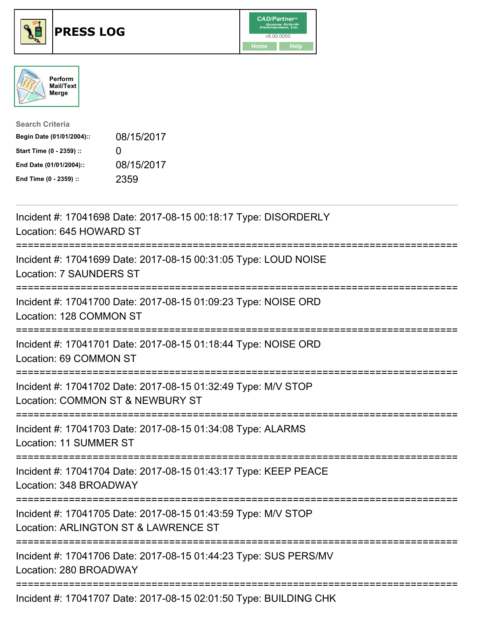





| <b>Search Criteria</b>    |                   |
|---------------------------|-------------------|
| Begin Date (01/01/2004):: | 08/15/2017        |
| Start Time (0 - 2359) ::  | $\mathbf{\Omega}$ |
| End Date (01/01/2004)::   | 08/15/2017        |
| End Time (0 - 2359) ::    | 2359              |

| Incident #: 17041698 Date: 2017-08-15 00:18:17 Type: DISORDERLY<br>Location: 645 HOWARD ST                                                                                                                                                                                                                          |
|---------------------------------------------------------------------------------------------------------------------------------------------------------------------------------------------------------------------------------------------------------------------------------------------------------------------|
| Incident #: 17041699 Date: 2017-08-15 00:31:05 Type: LOUD NOISE<br><b>Location: 7 SAUNDERS ST</b><br>.-----------------                                                                                                                                                                                             |
| Incident #: 17041700 Date: 2017-08-15 01:09:23 Type: NOISE ORD<br>Location: 128 COMMON ST                                                                                                                                                                                                                           |
| Incident #: 17041701 Date: 2017-08-15 01:18:44 Type: NOISE ORD<br>Location: 69 COMMON ST                                                                                                                                                                                                                            |
| Incident #: 17041702 Date: 2017-08-15 01:32:49 Type: M/V STOP<br>Location: COMMON ST & NEWBURY ST<br>====================================                                                                                                                                                                           |
| Incident #: 17041703 Date: 2017-08-15 01:34:08 Type: ALARMS<br><b>Location: 11 SUMMER ST</b>                                                                                                                                                                                                                        |
| Incident #: 17041704 Date: 2017-08-15 01:43:17 Type: KEEP PEACE<br>Location: 348 BROADWAY                                                                                                                                                                                                                           |
| Incident #: 17041705 Date: 2017-08-15 01:43:59 Type: M/V STOP<br>Location: ARLINGTON ST & LAWRENCE ST                                                                                                                                                                                                               |
| Incident #: 17041706 Date: 2017-08-15 01:44:23 Type: SUS PERS/MV<br>Location: 280 BROADWAY                                                                                                                                                                                                                          |
| $\frac{1}{2}$ $\frac{1}{2}$ $\frac{1}{2}$ $\frac{1}{2}$ $\frac{1}{2}$ $\frac{1}{2}$ $\frac{1}{2}$ $\frac{1}{2}$ $\frac{1}{2}$ $\frac{1}{2}$ $\frac{1}{2}$ $\frac{1}{2}$ $\frac{1}{2}$ $\frac{1}{2}$ $\frac{1}{2}$ $\frac{1}{2}$ $\frac{1}{2}$ $\frac{1}{2}$ $\frac{1}{2}$ $\frac{1}{2}$ $\frac{1}{2}$ $\frac{1}{2}$ |

Incident #: 17041707 Date: 2017-08-15 02:01:50 Type: BUILDING CHK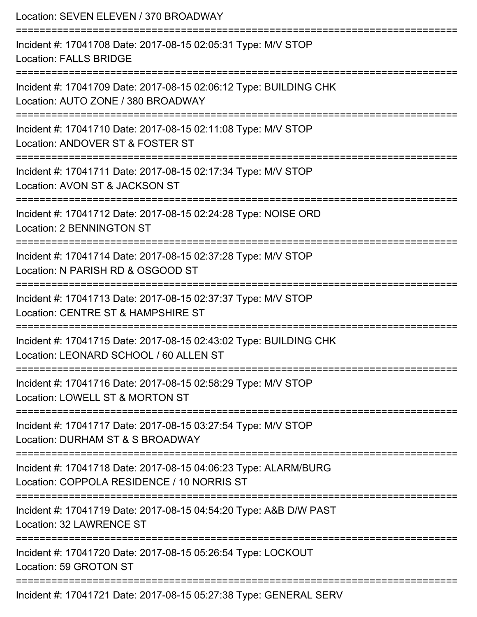| Location: SEVEN ELEVEN / 370 BROADWAY                                                                                    |
|--------------------------------------------------------------------------------------------------------------------------|
| Incident #: 17041708 Date: 2017-08-15 02:05:31 Type: M/V STOP<br><b>Location: FALLS BRIDGE</b>                           |
| Incident #: 17041709 Date: 2017-08-15 02:06:12 Type: BUILDING CHK<br>Location: AUTO ZONE / 380 BROADWAY                  |
| Incident #: 17041710 Date: 2017-08-15 02:11:08 Type: M/V STOP<br>Location: ANDOVER ST & FOSTER ST                        |
| ---------------------<br>Incident #: 17041711 Date: 2017-08-15 02:17:34 Type: M/V STOP<br>Location: AVON ST & JACKSON ST |
| Incident #: 17041712 Date: 2017-08-15 02:24:28 Type: NOISE ORD<br><b>Location: 2 BENNINGTON ST</b>                       |
| Incident #: 17041714 Date: 2017-08-15 02:37:28 Type: M/V STOP<br>Location: N PARISH RD & OSGOOD ST                       |
| Incident #: 17041713 Date: 2017-08-15 02:37:37 Type: M/V STOP<br>Location: CENTRE ST & HAMPSHIRE ST                      |
| Incident #: 17041715 Date: 2017-08-15 02:43:02 Type: BUILDING CHK<br>Location: LEONARD SCHOOL / 60 ALLEN ST              |
| Incident #: 17041716 Date: 2017-08-15 02:58:29 Type: M/V STOP<br>Location: LOWELL ST & MORTON ST                         |
| Incident #: 17041717 Date: 2017-08-15 03:27:54 Type: M/V STOP<br>Location: DURHAM ST & S BROADWAY                        |
| Incident #: 17041718 Date: 2017-08-15 04:06:23 Type: ALARM/BURG<br>Location: COPPOLA RESIDENCE / 10 NORRIS ST            |
| Incident #: 17041719 Date: 2017-08-15 04:54:20 Type: A&B D/W PAST<br><b>Location: 32 LAWRENCE ST</b>                     |
| Incident #: 17041720 Date: 2017-08-15 05:26:54 Type: LOCKOUT<br>Location: 59 GROTON ST                                   |
| Incident #: 17041721 Date: 2017-08-15 05:27:38 Type: GENERAL SERV                                                        |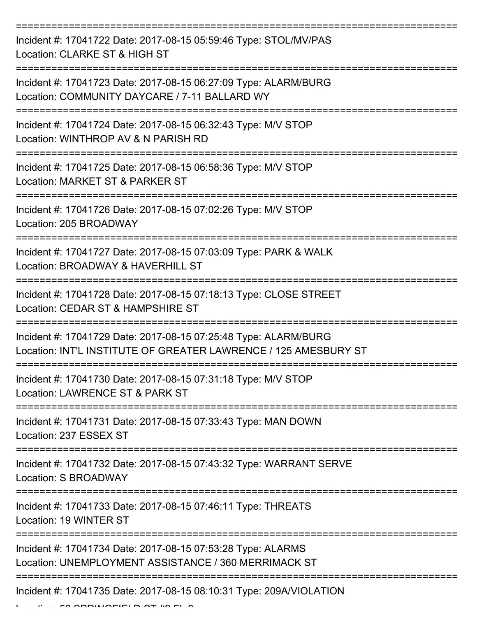=========================================================================== Incident #: 17041722 Date: 2017-08-15 05:59:46 Type: STOL/MV/PAS Location: CLARKE ST & HIGH ST =========================================================================== Incident #: 17041723 Date: 2017-08-15 06:27:09 Type: ALARM/BURG Location: COMMUNITY DAYCARE / 7-11 BALLARD WY =========================================================================== Incident #: 17041724 Date: 2017-08-15 06:32:43 Type: M/V STOP Location: WINTHROP AV & N PARISH RD =========================================================================== Incident #: 17041725 Date: 2017-08-15 06:58:36 Type: M/V STOP Location: MARKET ST & PARKER ST =========================================================================== Incident #: 17041726 Date: 2017-08-15 07:02:26 Type: M/V STOP Location: 205 BROADWAY =========================================================================== Incident #: 17041727 Date: 2017-08-15 07:03:09 Type: PARK & WALK Location: BROADWAY & HAVERHILL ST =========================================================================== Incident #: 17041728 Date: 2017-08-15 07:18:13 Type: CLOSE STREET Location: CEDAR ST & HAMPSHIRE ST =========================================================================== Incident #: 17041729 Date: 2017-08-15 07:25:48 Type: ALARM/BURG Location: INT'L INSTITUTE OF GREATER LAWRENCE / 125 AMESBURY ST =========================================================================== Incident #: 17041730 Date: 2017-08-15 07:31:18 Type: M/V STOP Location: LAWRENCE ST & PARK ST =========================================================================== Incident #: 17041731 Date: 2017-08-15 07:33:43 Type: MAN DOWN Location: 237 ESSEX ST =========================================================================== Incident #: 17041732 Date: 2017-08-15 07:43:32 Type: WARRANT SERVE Location: S BROADWAY =========================================================================== Incident #: 17041733 Date: 2017-08-15 07:46:11 Type: THREATS Location: 19 WINTER ST =========================================================================== Incident #: 17041734 Date: 2017-08-15 07:53:28 Type: ALARMS Location: UNEMPLOYMENT ASSISTANCE / 360 MERRIMACK ST =========================================================================== Incident #: 17041735 Date: 2017-08-15 08:10:31 Type: 209A/VIOLATION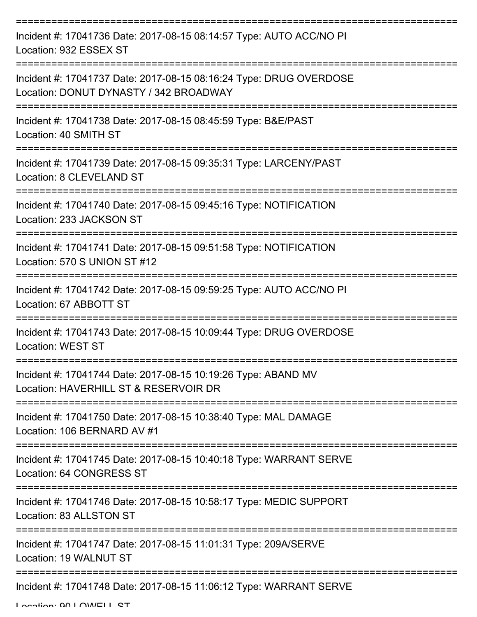| Incident #: 17041736 Date: 2017-08-15 08:14:57 Type: AUTO ACC/NO PI<br>Location: 932 ESSEX ST                                         |
|---------------------------------------------------------------------------------------------------------------------------------------|
| Incident #: 17041737 Date: 2017-08-15 08:16:24 Type: DRUG OVERDOSE<br>Location: DONUT DYNASTY / 342 BROADWAY                          |
| Incident #: 17041738 Date: 2017-08-15 08:45:59 Type: B&E/PAST<br>Location: 40 SMITH ST                                                |
| Incident #: 17041739 Date: 2017-08-15 09:35:31 Type: LARCENY/PAST<br>Location: 8 CLEVELAND ST                                         |
| Incident #: 17041740 Date: 2017-08-15 09:45:16 Type: NOTIFICATION<br>Location: 233 JACKSON ST<br>=================================    |
| Incident #: 17041741 Date: 2017-08-15 09:51:58 Type: NOTIFICATION<br>Location: 570 S UNION ST #12                                     |
| Incident #: 17041742 Date: 2017-08-15 09:59:25 Type: AUTO ACC/NO PI<br>Location: 67 ABBOTT ST                                         |
| Incident #: 17041743 Date: 2017-08-15 10:09:44 Type: DRUG OVERDOSE<br><b>Location: WEST ST</b>                                        |
| Incident #: 17041744 Date: 2017-08-15 10:19:26 Type: ABAND MV<br>Location: HAVERHILL ST & RESERVOIR DR                                |
| Incident #: 17041750 Date: 2017-08-15 10:38:40 Type: MAL DAMAGE<br>Location: 106 BERNARD AV #1                                        |
| Incident #: 17041745 Date: 2017-08-15 10:40:18 Type: WARRANT SERVE<br>Location: 64 CONGRESS ST<br>:================================== |
| Incident #: 17041746 Date: 2017-08-15 10:58:17 Type: MEDIC SUPPORT<br>Location: 83 ALLSTON ST                                         |
| Incident #: 17041747 Date: 2017-08-15 11:01:31 Type: 209A/SERVE<br>Location: 19 WALNUT ST                                             |
| Incident #: 17041748 Date: 2017-08-15 11:06:12 Type: WARRANT SERVE                                                                    |

Location: 00 LOWELL CT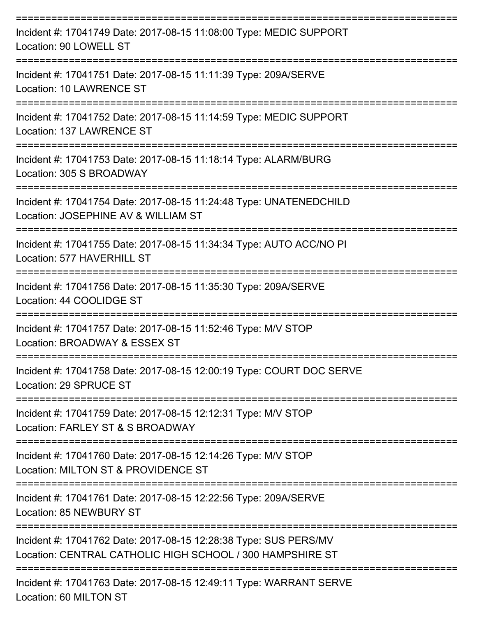| Incident #: 17041749 Date: 2017-08-15 11:08:00 Type: MEDIC SUPPORT<br>Location: 90 LOWELL ST                                  |
|-------------------------------------------------------------------------------------------------------------------------------|
| Incident #: 17041751 Date: 2017-08-15 11:11:39 Type: 209A/SERVE<br>Location: 10 LAWRENCE ST                                   |
| Incident #: 17041752 Date: 2017-08-15 11:14:59 Type: MEDIC SUPPORT<br>Location: 137 LAWRENCE ST                               |
| Incident #: 17041753 Date: 2017-08-15 11:18:14 Type: ALARM/BURG<br>Location: 305 S BROADWAY                                   |
| Incident #: 17041754 Date: 2017-08-15 11:24:48 Type: UNATENEDCHILD<br>Location: JOSEPHINE AV & WILLIAM ST                     |
| Incident #: 17041755 Date: 2017-08-15 11:34:34 Type: AUTO ACC/NO PI<br>Location: 577 HAVERHILL ST                             |
| Incident #: 17041756 Date: 2017-08-15 11:35:30 Type: 209A/SERVE<br>Location: 44 COOLIDGE ST                                   |
| Incident #: 17041757 Date: 2017-08-15 11:52:46 Type: M/V STOP<br>Location: BROADWAY & ESSEX ST                                |
| Incident #: 17041758 Date: 2017-08-15 12:00:19 Type: COURT DOC SERVE<br>Location: 29 SPRUCE ST                                |
| Incident #: 17041759 Date: 2017-08-15 12:12:31 Type: M/V STOP<br>Location: FARLEY ST & S BROADWAY                             |
| Incident #: 17041760 Date: 2017-08-15 12:14:26 Type: M/V STOP<br>Location: MILTON ST & PROVIDENCE ST                          |
| Incident #: 17041761 Date: 2017-08-15 12:22:56 Type: 209A/SERVE<br>Location: 85 NEWBURY ST                                    |
| Incident #: 17041762 Date: 2017-08-15 12:28:38 Type: SUS PERS/MV<br>Location: CENTRAL CATHOLIC HIGH SCHOOL / 300 HAMPSHIRE ST |
| -------------------------<br>Incident #: 17041763 Date: 2017-08-15 12:49:11 Type: WARRANT SERVE<br>Location: 60 MILTON ST     |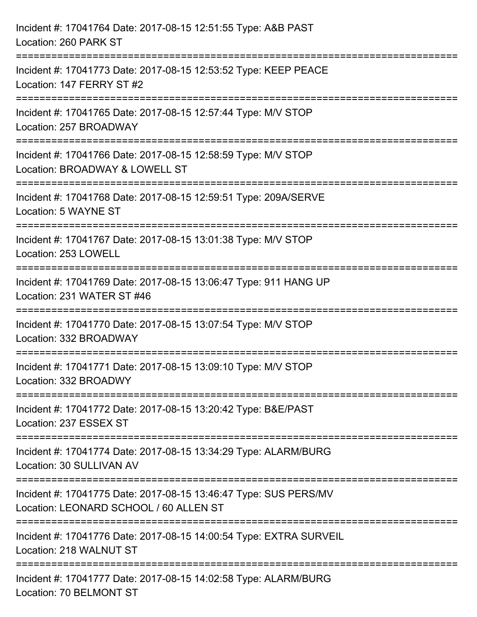| Incident #: 17041764 Date: 2017-08-15 12:51:55 Type: A&B PAST<br>Location: 260 PARK ST                                |
|-----------------------------------------------------------------------------------------------------------------------|
| Incident #: 17041773 Date: 2017-08-15 12:53:52 Type: KEEP PEACE<br>Location: 147 FERRY ST #2                          |
| Incident #: 17041765 Date: 2017-08-15 12:57:44 Type: M/V STOP<br>Location: 257 BROADWAY<br>-------------------------- |
| Incident #: 17041766 Date: 2017-08-15 12:58:59 Type: M/V STOP<br>Location: BROADWAY & LOWELL ST                       |
| Incident #: 17041768 Date: 2017-08-15 12:59:51 Type: 209A/SERVE<br>Location: 5 WAYNE ST                               |
| Incident #: 17041767 Date: 2017-08-15 13:01:38 Type: M/V STOP<br>Location: 253 LOWELL                                 |
| Incident #: 17041769 Date: 2017-08-15 13:06:47 Type: 911 HANG UP<br>Location: 231 WATER ST #46                        |
| Incident #: 17041770 Date: 2017-08-15 13:07:54 Type: M/V STOP<br>Location: 332 BROADWAY                               |
| Incident #: 17041771 Date: 2017-08-15 13:09:10 Type: M/V STOP<br>Location: 332 BROADWY                                |
| Incident #: 17041772 Date: 2017-08-15 13:20:42 Type: B&E/PAST<br>Location: 237 ESSEX ST                               |
| Incident #: 17041774 Date: 2017-08-15 13:34:29 Type: ALARM/BURG<br>Location: 30 SULLIVAN AV                           |
| Incident #: 17041775 Date: 2017-08-15 13:46:47 Type: SUS PERS/MV<br>Location: LEONARD SCHOOL / 60 ALLEN ST            |
| Incident #: 17041776 Date: 2017-08-15 14:00:54 Type: EXTRA SURVEIL<br>Location: 218 WALNUT ST                         |
| Incident #: 17041777 Date: 2017-08-15 14:02:58 Type: ALARM/BURG<br>Location: 70 BELMONT ST                            |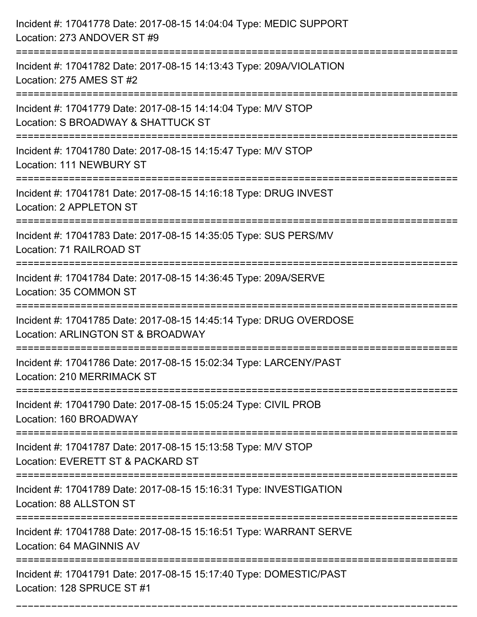| Incident #: 17041778 Date: 2017-08-15 14:04:04 Type: MEDIC SUPPORT<br>Location: 273 ANDOVER ST #9                                    |
|--------------------------------------------------------------------------------------------------------------------------------------|
| Incident #: 17041782 Date: 2017-08-15 14:13:43 Type: 209A/VIOLATION<br>Location: 275 AMES ST #2                                      |
| Incident #: 17041779 Date: 2017-08-15 14:14:04 Type: M/V STOP<br>Location: S BROADWAY & SHATTUCK ST<br>============================= |
| Incident #: 17041780 Date: 2017-08-15 14:15:47 Type: M/V STOP<br>Location: 111 NEWBURY ST                                            |
| Incident #: 17041781 Date: 2017-08-15 14:16:18 Type: DRUG INVEST<br>Location: 2 APPLETON ST                                          |
| Incident #: 17041783 Date: 2017-08-15 14:35:05 Type: SUS PERS/MV<br>Location: 71 RAILROAD ST                                         |
| Incident #: 17041784 Date: 2017-08-15 14:36:45 Type: 209A/SERVE<br>Location: 35 COMMON ST                                            |
| Incident #: 17041785 Date: 2017-08-15 14:45:14 Type: DRUG OVERDOSE<br>Location: ARLINGTON ST & BROADWAY                              |
| Incident #: 17041786 Date: 2017-08-15 15:02:34 Type: LARCENY/PAST<br>Location: 210 MERRIMACK ST                                      |
| Incident #: 17041790 Date: 2017-08-15 15:05:24 Type: CIVIL PROB<br>Location: 160 BROADWAY<br>============================            |
| Incident #: 17041787 Date: 2017-08-15 15:13:58 Type: M/V STOP<br>Location: EVERETT ST & PACKARD ST                                   |
| Incident #: 17041789 Date: 2017-08-15 15:16:31 Type: INVESTIGATION<br>Location: 88 ALLSTON ST                                        |
| Incident #: 17041788 Date: 2017-08-15 15:16:51 Type: WARRANT SERVE<br>Location: 64 MAGINNIS AV                                       |
| Incident #: 17041791 Date: 2017-08-15 15:17:40 Type: DOMESTIC/PAST<br>Location: 128 SPRUCE ST #1                                     |

===========================================================================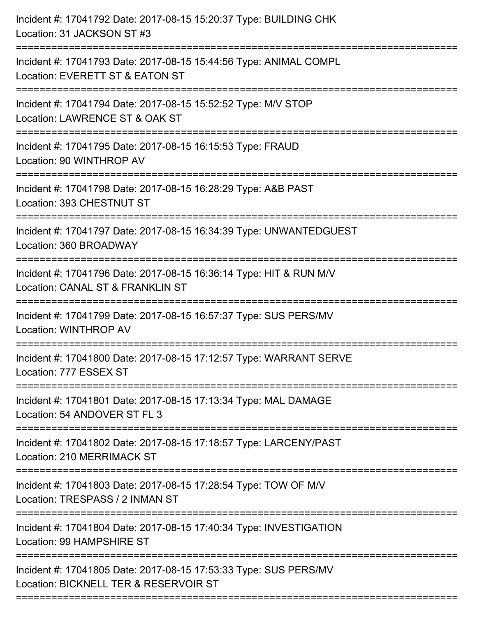| Incident #: 17041792 Date: 2017-08-15 15:20:37 Type: BUILDING CHK<br>Location: 31 JACKSON ST #3<br>================================ |
|-------------------------------------------------------------------------------------------------------------------------------------|
| Incident #: 17041793 Date: 2017-08-15 15:44:56 Type: ANIMAL COMPL<br>Location: EVERETT ST & EATON ST<br>---------------------       |
| Incident #: 17041794 Date: 2017-08-15 15:52:52 Type: M/V STOP<br>Location: LAWRENCE ST & OAK ST                                     |
| Incident #: 17041795 Date: 2017-08-15 16:15:53 Type: FRAUD<br>Location: 90 WINTHROP AV                                              |
| Incident #: 17041798 Date: 2017-08-15 16:28:29 Type: A&B PAST<br>Location: 393 CHESTNUT ST                                          |
| Incident #: 17041797 Date: 2017-08-15 16:34:39 Type: UNWANTEDGUEST<br>Location: 360 BROADWAY                                        |
| Incident #: 17041796 Date: 2017-08-15 16:36:14 Type: HIT & RUN M/V<br>Location: CANAL ST & FRANKLIN ST                              |
| Incident #: 17041799 Date: 2017-08-15 16:57:37 Type: SUS PERS/MV<br>Location: WINTHROP AV                                           |
| Incident #: 17041800 Date: 2017-08-15 17:12:57 Type: WARRANT SERVE<br>Location: 777 ESSEX ST                                        |
| Incident #: 17041801 Date: 2017-08-15 17:13:34 Type: MAL DAMAGE<br>Location: 54 ANDOVER ST FL 3                                     |
| Incident #: 17041802 Date: 2017-08-15 17:18:57 Type: LARCENY/PAST<br><b>Location: 210 MERRIMACK ST</b>                              |
| Incident #: 17041803 Date: 2017-08-15 17:28:54 Type: TOW OF M/V<br>Location: TRESPASS / 2 INMAN ST                                  |
| Incident #: 17041804 Date: 2017-08-15 17:40:34 Type: INVESTIGATION<br>Location: 99 HAMPSHIRE ST                                     |
| Incident #: 17041805 Date: 2017-08-15 17:53:33 Type: SUS PERS/MV<br>Location: BICKNELL TER & RESERVOIR ST                           |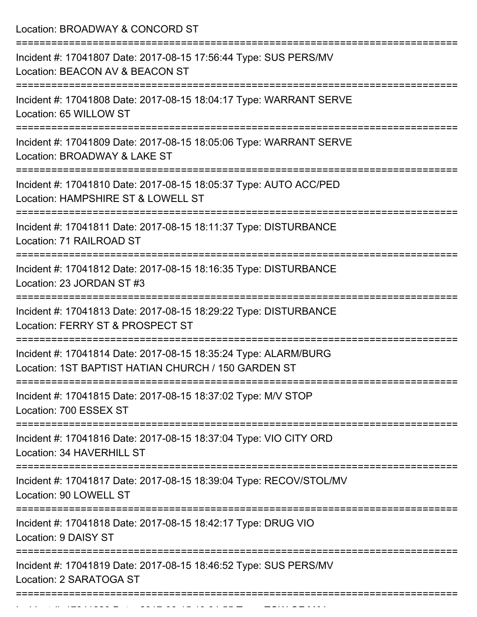| Location: BROADWAY & CONCORD ST                                                                                                     |
|-------------------------------------------------------------------------------------------------------------------------------------|
| Incident #: 17041807 Date: 2017-08-15 17:56:44 Type: SUS PERS/MV<br>Location: BEACON AV & BEACON ST                                 |
| Incident #: 17041808 Date: 2017-08-15 18:04:17 Type: WARRANT SERVE<br>Location: 65 WILLOW ST                                        |
| Incident #: 17041809 Date: 2017-08-15 18:05:06 Type: WARRANT SERVE<br>Location: BROADWAY & LAKE ST                                  |
| Incident #: 17041810 Date: 2017-08-15 18:05:37 Type: AUTO ACC/PED<br>Location: HAMPSHIRE ST & LOWELL ST<br>:======================= |
| Incident #: 17041811 Date: 2017-08-15 18:11:37 Type: DISTURBANCE<br>Location: 71 RAILROAD ST                                        |
| Incident #: 17041812 Date: 2017-08-15 18:16:35 Type: DISTURBANCE<br>Location: 23 JORDAN ST #3                                       |
| Incident #: 17041813 Date: 2017-08-15 18:29:22 Type: DISTURBANCE<br>Location: FERRY ST & PROSPECT ST                                |
| Incident #: 17041814 Date: 2017-08-15 18:35:24 Type: ALARM/BURG<br>Location: 1ST BAPTIST HATIAN CHURCH / 150 GARDEN ST              |
| Incident #: 17041815 Date: 2017-08-15 18:37:02 Type: M/V STOP<br>Location: 700 ESSEX ST                                             |
| Incident #: 17041816 Date: 2017-08-15 18:37:04 Type: VIO CITY ORD<br>Location: 34 HAVERHILL ST                                      |
| Incident #: 17041817 Date: 2017-08-15 18:39:04 Type: RECOV/STOL/MV<br>Location: 90 LOWELL ST                                        |
| Incident #: 17041818 Date: 2017-08-15 18:42:17 Type: DRUG VIO<br>Location: 9 DAISY ST                                               |
| Incident #: 17041819 Date: 2017-08-15 18:46:52 Type: SUS PERS/MV<br>Location: 2 SARATOGA ST                                         |

Incident #: 17041820 Date: 2017 08 15 19:04:55 Type: Township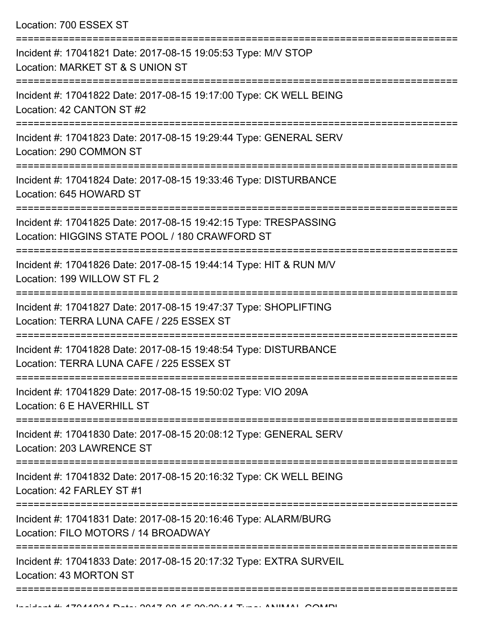Location: 700 ESSEX ST

| Incident #: 17041821 Date: 2017-08-15 19:05:53 Type: M/V STOP<br>Location: MARKET ST & S UNION ST                                    |
|--------------------------------------------------------------------------------------------------------------------------------------|
| Incident #: 17041822 Date: 2017-08-15 19:17:00 Type: CK WELL BEING<br>Location: 42 CANTON ST #2                                      |
| Incident #: 17041823 Date: 2017-08-15 19:29:44 Type: GENERAL SERV<br>Location: 290 COMMON ST                                         |
| Incident #: 17041824 Date: 2017-08-15 19:33:46 Type: DISTURBANCE<br>Location: 645 HOWARD ST<br>===================================== |
| Incident #: 17041825 Date: 2017-08-15 19:42:15 Type: TRESPASSING<br>Location: HIGGINS STATE POOL / 180 CRAWFORD ST                   |
| Incident #: 17041826 Date: 2017-08-15 19:44:14 Type: HIT & RUN M/V<br>Location: 199 WILLOW ST FL 2                                   |
| Incident #: 17041827 Date: 2017-08-15 19:47:37 Type: SHOPLIFTING<br>Location: TERRA LUNA CAFE / 225 ESSEX ST                         |
| Incident #: 17041828 Date: 2017-08-15 19:48:54 Type: DISTURBANCE<br>Location: TERRA LUNA CAFE / 225 ESSEX ST                         |
| Incident #: 17041829 Date: 2017-08-15 19:50:02 Type: VIO 209A<br>Location: 6 E HAVERHILL ST                                          |
| Incident #: 17041830 Date: 2017-08-15 20:08:12 Type: GENERAL SERV<br>Location: 203 LAWRENCE ST                                       |
| Incident #: 17041832 Date: 2017-08-15 20:16:32 Type: CK WELL BEING<br>Location: 42 FARLEY ST #1                                      |
| Incident #: 17041831 Date: 2017-08-15 20:16:46 Type: ALARM/BURG<br>Location: FILO MOTORS / 14 BROADWAY                               |
| Incident #: 17041833 Date: 2017-08-15 20:17:32 Type: EXTRA SURVEIL<br>Location: 43 MORTON ST                                         |
|                                                                                                                                      |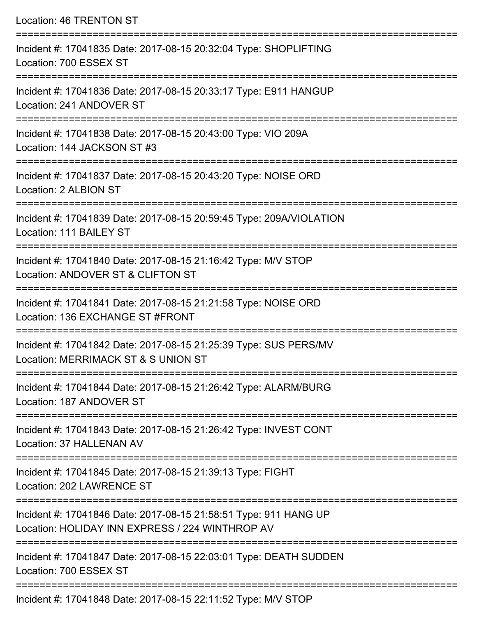Location: 46 TRENTON ST =========================================================================== Incident #: 17041835 Date: 2017-08-15 20:32:04 Type: SHOPLIFTING Location: 700 ESSEX ST =========================================================================== Incident #: 17041836 Date: 2017-08-15 20:33:17 Type: E911 HANGUP Location: 241 ANDOVER ST =========================================================================== Incident #: 17041838 Date: 2017-08-15 20:43:00 Type: VIO 209A Location: 144 JACKSON ST #3 =========================================================================== Incident #: 17041837 Date: 2017-08-15 20:43:20 Type: NOISE ORD Location: 2 ALBION ST =========================================================================== Incident #: 17041839 Date: 2017-08-15 20:59:45 Type: 209A/VIOLATION Location: 111 BAILEY ST =========================================================================== Incident #: 17041840 Date: 2017-08-15 21:16:42 Type: M/V STOP Location: ANDOVER ST & CLIFTON ST =========================================================================== Incident #: 17041841 Date: 2017-08-15 21:21:58 Type: NOISE ORD Location: 136 EXCHANGE ST #FRONT =========================================================================== Incident #: 17041842 Date: 2017-08-15 21:25:39 Type: SUS PERS/MV Location: MERRIMACK ST & S UNION ST =========================================================================== Incident #: 17041844 Date: 2017-08-15 21:26:42 Type: ALARM/BURG Location: 187 ANDOVER ST =========================================================================== Incident #: 17041843 Date: 2017-08-15 21:26:42 Type: INVEST CONT Location: 37 HALLENAN AV =========================================================================== Incident #: 17041845 Date: 2017-08-15 21:39:13 Type: FIGHT Location: 202 LAWRENCE ST =========================================================================== Incident #: 17041846 Date: 2017-08-15 21:58:51 Type: 911 HANG UP Location: HOLIDAY INN EXPRESS / 224 WINTHROP AV =========================================================================== Incident #: 17041847 Date: 2017-08-15 22:03:01 Type: DEATH SUDDEN Location: 700 ESSEX ST ===========================================================================

Incident #: 17041848 Date: 2017-08-15 22:11:52 Type: M/V STOP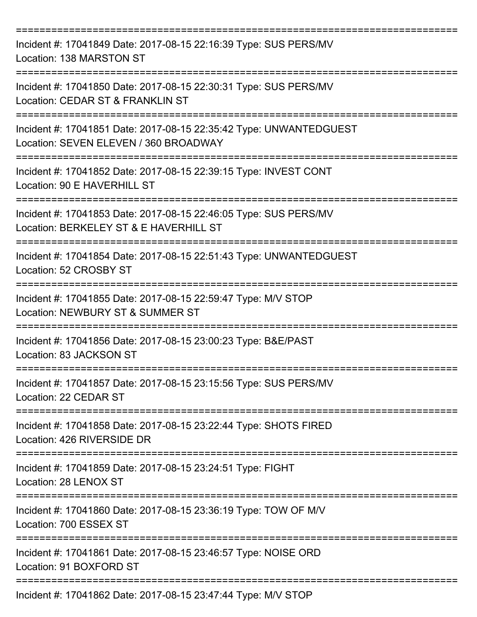| Incident #: 17041849 Date: 2017-08-15 22:16:39 Type: SUS PERS/MV<br>Location: 138 MARSTON ST                                            |
|-----------------------------------------------------------------------------------------------------------------------------------------|
| Incident #: 17041850 Date: 2017-08-15 22:30:31 Type: SUS PERS/MV<br>Location: CEDAR ST & FRANKLIN ST                                    |
| Incident #: 17041851 Date: 2017-08-15 22:35:42 Type: UNWANTEDGUEST<br>Location: SEVEN ELEVEN / 360 BROADWAY<br>:====================    |
| Incident #: 17041852 Date: 2017-08-15 22:39:15 Type: INVEST CONT<br>Location: 90 E HAVERHILL ST                                         |
| -------------------------<br>Incident #: 17041853 Date: 2017-08-15 22:46:05 Type: SUS PERS/MV<br>Location: BERKELEY ST & E HAVERHILL ST |
| Incident #: 17041854 Date: 2017-08-15 22:51:43 Type: UNWANTEDGUEST<br>Location: 52 CROSBY ST                                            |
| ========================<br>Incident #: 17041855 Date: 2017-08-15 22:59:47 Type: M/V STOP<br>Location: NEWBURY ST & SUMMER ST           |
| Incident #: 17041856 Date: 2017-08-15 23:00:23 Type: B&E/PAST<br>Location: 83 JACKSON ST                                                |
| Incident #: 17041857 Date: 2017-08-15 23:15:56 Type: SUS PERS/MV<br>Location: 22 CEDAR ST                                               |
| Incident #: 17041858 Date: 2017-08-15 23:22:44 Type: SHOTS FIRED<br>Location: 426 RIVERSIDE DR                                          |
| Incident #: 17041859 Date: 2017-08-15 23:24:51 Type: FIGHT<br>Location: 28 LENOX ST                                                     |
| Incident #: 17041860 Date: 2017-08-15 23:36:19 Type: TOW OF M/V<br>Location: 700 ESSEX ST                                               |
| Incident #: 17041861 Date: 2017-08-15 23:46:57 Type: NOISE ORD<br>Location: 91 BOXFORD ST                                               |
| Incident #: 17041862 Date: 2017-08-15 23:47:44 Type: M/V STOP                                                                           |